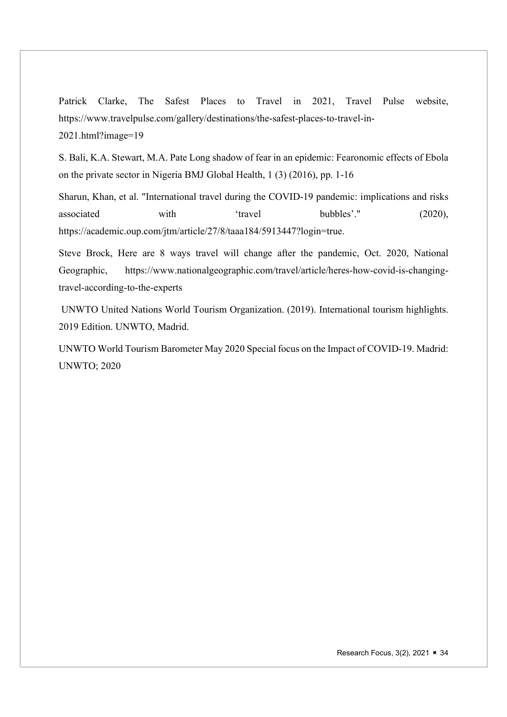Patrick Clarke, The Safest Places to Travel in 2021, Travel Pulse website, https://www.travelpulse.com/gallery/destinations/the-safest-places-to-travel-in-2021.html?image=19

S. Bali, K.A. Stewart, M.A. Pate Long shadow of fear in an epidemic: Fearonomic effects of Ebola on the private sector in Nigeria BMJ Global Health, 1 (3) (2016), pp. 1-16

Sharun, Khan, et al. "International travel during the COVID-19 pandemic: implications and risks associated with 'travel bubbles'." (2020), https://academic.oup.com/jtm/article/27/8/taaa184/5913447?login=true.

Steve Brock, Here are 8 ways travel will change after the pandemic, Oct. 2020, National Geographic, https://www.nationalgeographic.com/travel/article/heres-how-covid-is-changingtravel-according-to-the-experts

 UNWTO United Nations World Tourism Organization. (2019). International tourism highlights. 2019 Edition. UNWTO, Madrid.

UNWTO World Tourism Barometer May 2020 Special focus on the Impact of COVID-19. Madrid: UNWTO; 2020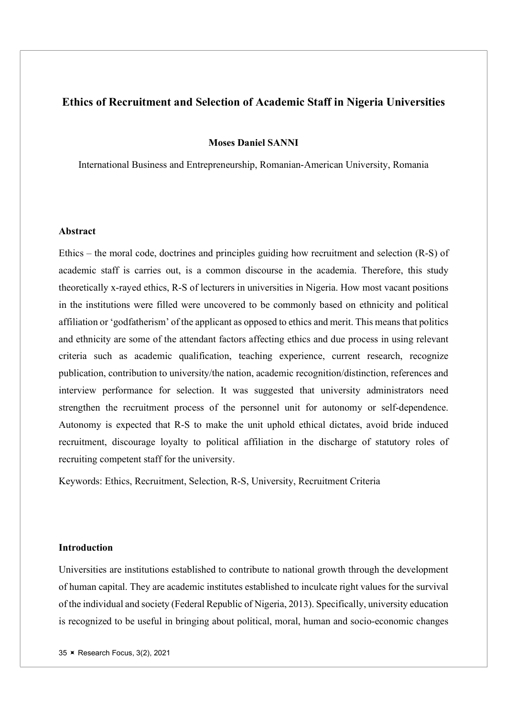## Ethics of Recruitment and Selection of Academic Staff in Nigeria Universities

Moses Daniel SANNI

International Business and Entrepreneurship, Romanian-American University, Romania

#### Abstract

Ethics – the moral code, doctrines and principles guiding how recruitment and selection (R-S) of academic staff is carries out, is a common discourse in the academia. Therefore, this study theoretically x-rayed ethics, R-S of lecturers in universities in Nigeria. How most vacant positions in the institutions were filled were uncovered to be commonly based on ethnicity and political affiliation or 'godfatherism' of the applicant as opposed to ethics and merit. This means that politics and ethnicity are some of the attendant factors affecting ethics and due process in using relevant criteria such as academic qualification, teaching experience, current research, recognize publication, contribution to university/the nation, academic recognition/distinction, references and interview performance for selection. It was suggested that university administrators need strengthen the recruitment process of the personnel unit for autonomy or self-dependence. Autonomy is expected that R-S to make the unit uphold ethical dictates, avoid bride induced recruitment, discourage loyalty to political affiliation in the discharge of statutory roles of recruiting competent staff for the university.

Keywords: Ethics, Recruitment, Selection, R-S, University, Recruitment Criteria

#### Introduction

Universities are institutions established to contribute to national growth through the development of human capital. They are academic institutes established to inculcate right values for the survival of the individual and society (Federal Republic of Nigeria, 2013). Specifically, university education is recognized to be useful in bringing about political, moral, human and socio-economic changes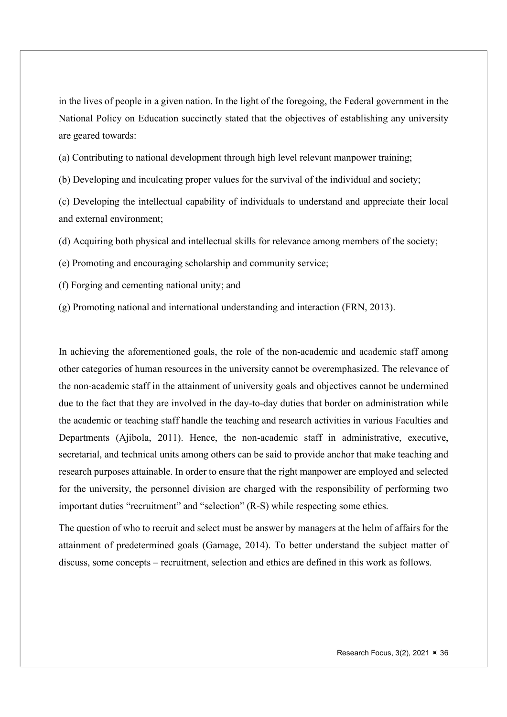in the lives of people in a given nation. In the light of the foregoing, the Federal government in the National Policy on Education succinctly stated that the objectives of establishing any university are geared towards:

(a) Contributing to national development through high level relevant manpower training;

(b) Developing and inculcating proper values for the survival of the individual and society;

(c) Developing the intellectual capability of individuals to understand and appreciate their local and external environment;

(d) Acquiring both physical and intellectual skills for relevance among members of the society;

(e) Promoting and encouraging scholarship and community service;

(f) Forging and cementing national unity; and

(g) Promoting national and international understanding and interaction (FRN, 2013).

In achieving the aforementioned goals, the role of the non-academic and academic staff among other categories of human resources in the university cannot be overemphasized. The relevance of the non-academic staff in the attainment of university goals and objectives cannot be undermined due to the fact that they are involved in the day-to-day duties that border on administration while the academic or teaching staff handle the teaching and research activities in various Faculties and Departments (Ajibola, 2011). Hence, the non-academic staff in administrative, executive, secretarial, and technical units among others can be said to provide anchor that make teaching and research purposes attainable. In order to ensure that the right manpower are employed and selected for the university, the personnel division are charged with the responsibility of performing two important duties "recruitment" and "selection" (R-S) while respecting some ethics.

The question of who to recruit and select must be answer by managers at the helm of affairs for the attainment of predetermined goals (Gamage, 2014). To better understand the subject matter of discuss, some concepts – recruitment, selection and ethics are defined in this work as follows.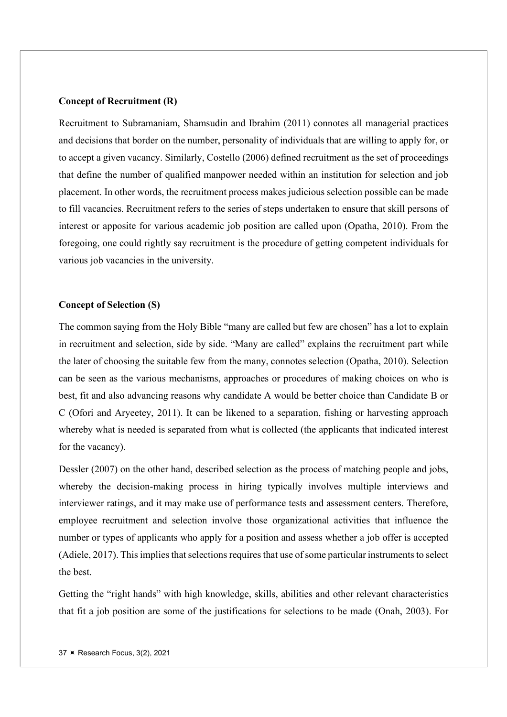## Concept of Recruitment (R)

Recruitment to Subramaniam, Shamsudin and Ibrahim (2011) connotes all managerial practices and decisions that border on the number, personality of individuals that are willing to apply for, or to accept a given vacancy. Similarly, Costello (2006) defined recruitment as the set of proceedings that define the number of qualified manpower needed within an institution for selection and job placement. In other words, the recruitment process makes judicious selection possible can be made to fill vacancies. Recruitment refers to the series of steps undertaken to ensure that skill persons of interest or apposite for various academic job position are called upon (Opatha, 2010). From the foregoing, one could rightly say recruitment is the procedure of getting competent individuals for various job vacancies in the university.

## Concept of Selection (S)

The common saying from the Holy Bible "many are called but few are chosen" has a lot to explain in recruitment and selection, side by side. "Many are called" explains the recruitment part while the later of choosing the suitable few from the many, connotes selection (Opatha, 2010). Selection can be seen as the various mechanisms, approaches or procedures of making choices on who is best, fit and also advancing reasons why candidate A would be better choice than Candidate B or C (Ofori and Aryeetey, 2011). It can be likened to a separation, fishing or harvesting approach whereby what is needed is separated from what is collected (the applicants that indicated interest for the vacancy).

Dessler (2007) on the other hand, described selection as the process of matching people and jobs, whereby the decision-making process in hiring typically involves multiple interviews and interviewer ratings, and it may make use of performance tests and assessment centers. Therefore, employee recruitment and selection involve those organizational activities that influence the number or types of applicants who apply for a position and assess whether a job offer is accepted (Adiele, 2017). This implies that selections requires that use of some particular instruments to select the best.

Getting the "right hands" with high knowledge, skills, abilities and other relevant characteristics that fit a job position are some of the justifications for selections to be made (Onah, 2003). For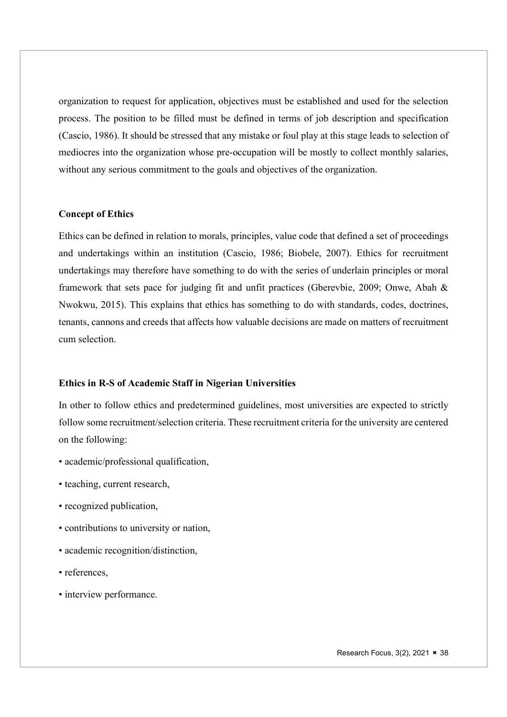organization to request for application, objectives must be established and used for the selection process. The position to be filled must be defined in terms of job description and specification (Cascio, 1986). It should be stressed that any mistake or foul play at this stage leads to selection of mediocres into the organization whose pre-occupation will be mostly to collect monthly salaries, without any serious commitment to the goals and objectives of the organization.

## Concept of Ethics

Ethics can be defined in relation to morals, principles, value code that defined a set of proceedings and undertakings within an institution (Cascio, 1986; Biobele, 2007). Ethics for recruitment undertakings may therefore have something to do with the series of underlain principles or moral framework that sets pace for judging fit and unfit practices (Gberevbie, 2009; Onwe, Abah & Nwokwu, 2015). This explains that ethics has something to do with standards, codes, doctrines, tenants, cannons and creeds that affects how valuable decisions are made on matters of recruitment cum selection.

#### Ethics in R-S of Academic Staff in Nigerian Universities

In other to follow ethics and predetermined guidelines, most universities are expected to strictly follow some recruitment/selection criteria. These recruitment criteria for the university are centered on the following:

- academic/professional qualification,
- teaching, current research,
- recognized publication,
- contributions to university or nation,
- academic recognition/distinction,
- references,
- interview performance.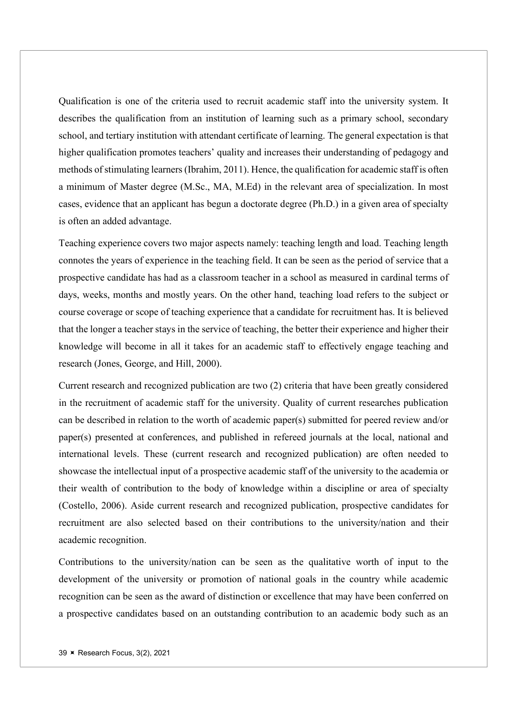Qualification is one of the criteria used to recruit academic staff into the university system. It describes the qualification from an institution of learning such as a primary school, secondary school, and tertiary institution with attendant certificate of learning. The general expectation is that higher qualification promotes teachers' quality and increases their understanding of pedagogy and methods of stimulating learners (Ibrahim, 2011). Hence, the qualification for academic staff is often a minimum of Master degree (M.Sc., MA, M.Ed) in the relevant area of specialization. In most cases, evidence that an applicant has begun a doctorate degree (Ph.D.) in a given area of specialty is often an added advantage.

Teaching experience covers two major aspects namely: teaching length and load. Teaching length connotes the years of experience in the teaching field. It can be seen as the period of service that a prospective candidate has had as a classroom teacher in a school as measured in cardinal terms of days, weeks, months and mostly years. On the other hand, teaching load refers to the subject or course coverage or scope of teaching experience that a candidate for recruitment has. It is believed that the longer a teacher stays in the service of teaching, the better their experience and higher their knowledge will become in all it takes for an academic staff to effectively engage teaching and research (Jones, George, and Hill, 2000).

Current research and recognized publication are two (2) criteria that have been greatly considered in the recruitment of academic staff for the university. Quality of current researches publication can be described in relation to the worth of academic paper(s) submitted for peered review and/or paper(s) presented at conferences, and published in refereed journals at the local, national and international levels. These (current research and recognized publication) are often needed to showcase the intellectual input of a prospective academic staff of the university to the academia or their wealth of contribution to the body of knowledge within a discipline or area of specialty (Costello, 2006). Aside current research and recognized publication, prospective candidates for recruitment are also selected based on their contributions to the university/nation and their academic recognition.

Contributions to the university/nation can be seen as the qualitative worth of input to the development of the university or promotion of national goals in the country while academic recognition can be seen as the award of distinction or excellence that may have been conferred on a prospective candidates based on an outstanding contribution to an academic body such as an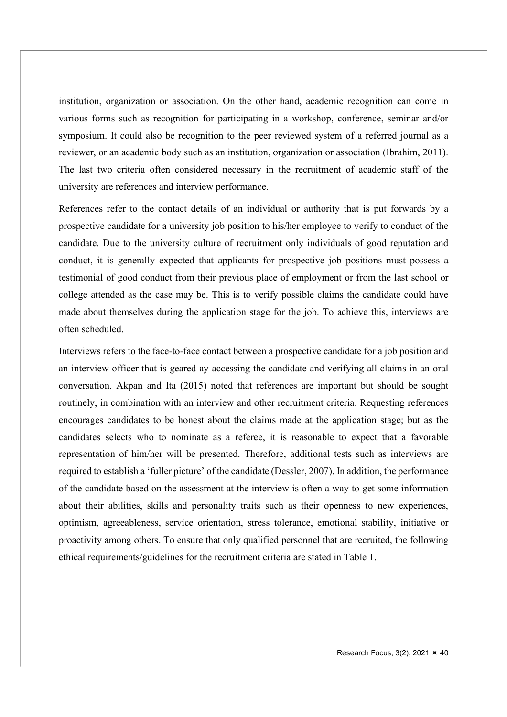institution, organization or association. On the other hand, academic recognition can come in various forms such as recognition for participating in a workshop, conference, seminar and/or symposium. It could also be recognition to the peer reviewed system of a referred journal as a reviewer, or an academic body such as an institution, organization or association (Ibrahim, 2011). The last two criteria often considered necessary in the recruitment of academic staff of the university are references and interview performance.

References refer to the contact details of an individual or authority that is put forwards by a prospective candidate for a university job position to his/her employee to verify to conduct of the candidate. Due to the university culture of recruitment only individuals of good reputation and conduct, it is generally expected that applicants for prospective job positions must possess a testimonial of good conduct from their previous place of employment or from the last school or college attended as the case may be. This is to verify possible claims the candidate could have made about themselves during the application stage for the job. To achieve this, interviews are often scheduled.

Interviews refers to the face-to-face contact between a prospective candidate for a job position and an interview officer that is geared ay accessing the candidate and verifying all claims in an oral conversation. Akpan and Ita (2015) noted that references are important but should be sought routinely, in combination with an interview and other recruitment criteria. Requesting references encourages candidates to be honest about the claims made at the application stage; but as the candidates selects who to nominate as a referee, it is reasonable to expect that a favorable representation of him/her will be presented. Therefore, additional tests such as interviews are required to establish a 'fuller picture' of the candidate (Dessler, 2007). In addition, the performance of the candidate based on the assessment at the interview is often a way to get some information about their abilities, skills and personality traits such as their openness to new experiences, optimism, agreeableness, service orientation, stress tolerance, emotional stability, initiative or proactivity among others. To ensure that only qualified personnel that are recruited, the following ethical requirements/guidelines for the recruitment criteria are stated in Table 1.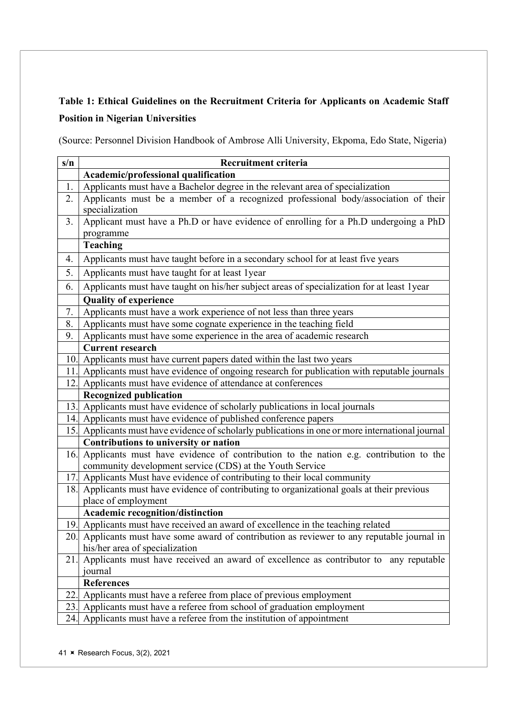# Table 1: Ethical Guidelines on the Recruitment Criteria for Applicants on Academic Staff Position in Nigerian Universities

(Source: Personnel Division Handbook of Ambrose Alli University, Ekpoma, Edo State, Nigeria)

| s/n | Recruitment criteria                                                                                                                                                      |  |  |  |
|-----|---------------------------------------------------------------------------------------------------------------------------------------------------------------------------|--|--|--|
|     | Academic/professional qualification                                                                                                                                       |  |  |  |
| 1.  | Applicants must have a Bachelor degree in the relevant area of specialization                                                                                             |  |  |  |
| 2.  | Applicants must be a member of a recognized professional body/association of their                                                                                        |  |  |  |
|     | specialization                                                                                                                                                            |  |  |  |
| 3.  | Applicant must have a Ph.D or have evidence of enrolling for a Ph.D undergoing a PhD                                                                                      |  |  |  |
|     | programme                                                                                                                                                                 |  |  |  |
|     | Teaching                                                                                                                                                                  |  |  |  |
| 4.  | Applicants must have taught before in a secondary school for at least five years                                                                                          |  |  |  |
| 5.  | Applicants must have taught for at least 1year                                                                                                                            |  |  |  |
| 6.  | Applicants must have taught on his/her subject areas of specialization for at least 1year                                                                                 |  |  |  |
|     | <b>Quality of experience</b>                                                                                                                                              |  |  |  |
| 7.  | Applicants must have a work experience of not less than three years                                                                                                       |  |  |  |
| 8.  | Applicants must have some cognate experience in the teaching field                                                                                                        |  |  |  |
| 9.  | Applicants must have some experience in the area of academic research                                                                                                     |  |  |  |
|     | <b>Current research</b>                                                                                                                                                   |  |  |  |
|     | 10. Applicants must have current papers dated within the last two years                                                                                                   |  |  |  |
| 11. | Applicants must have evidence of ongoing research for publication with reputable journals                                                                                 |  |  |  |
| 12. | Applicants must have evidence of attendance at conferences                                                                                                                |  |  |  |
|     | <b>Recognized publication</b>                                                                                                                                             |  |  |  |
|     | 13. Applicants must have evidence of scholarly publications in local journals                                                                                             |  |  |  |
|     | 14. Applicants must have evidence of published conference papers                                                                                                          |  |  |  |
|     | 15. Applicants must have evidence of scholarly publications in one or more international journal                                                                          |  |  |  |
|     | Contributions to university or nation                                                                                                                                     |  |  |  |
| 16. | Applicants must have evidence of contribution to the nation e.g. contribution to the                                                                                      |  |  |  |
|     | community development service (CDS) at the Youth Service                                                                                                                  |  |  |  |
|     | 17. Applicants Must have evidence of contributing to their local community<br>18. Applicants must have evidence of contributing to organizational goals at their previous |  |  |  |
|     | place of employment                                                                                                                                                       |  |  |  |
|     | Academic recognition/distinction                                                                                                                                          |  |  |  |
|     | 19. Applicants must have received an award of excellence in the teaching related                                                                                          |  |  |  |
|     | 20. Applicants must have some award of contribution as reviewer to any reputable journal in                                                                               |  |  |  |
|     | his/her area of specialization                                                                                                                                            |  |  |  |
| 21. | Applicants must have received an award of excellence as contributor to any reputable                                                                                      |  |  |  |
|     | journal                                                                                                                                                                   |  |  |  |
|     | <b>References</b>                                                                                                                                                         |  |  |  |
| 22. | Applicants must have a referee from place of previous employment                                                                                                          |  |  |  |
| 23. | Applicants must have a referee from school of graduation employment                                                                                                       |  |  |  |
| 24. | Applicants must have a referee from the institution of appointment                                                                                                        |  |  |  |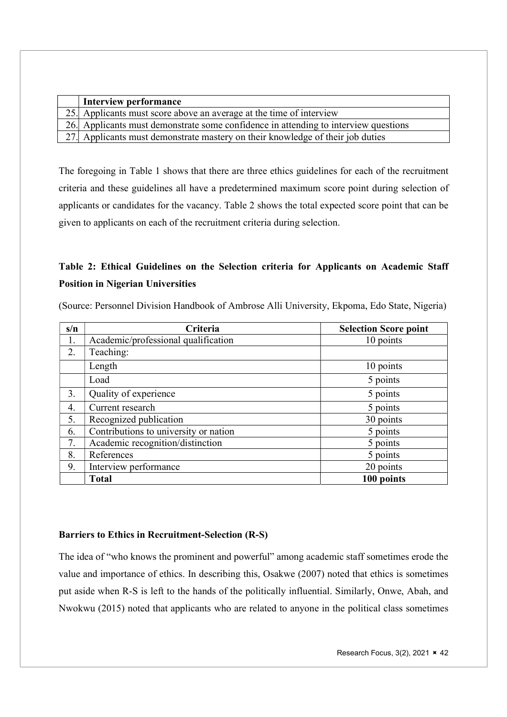| Interview performance                                                               |
|-------------------------------------------------------------------------------------|
| 25. Applicants must score above an average at the time of interview                 |
| 26. Applicants must demonstrate some confidence in attending to interview questions |
| 27. Applicants must demonstrate mastery on their knowledge of their job duties      |

The foregoing in Table 1 shows that there are three ethics guidelines for each of the recruitment criteria and these guidelines all have a predetermined maximum score point during selection of applicants or candidates for the vacancy. Table 2 shows the total expected score point that can be given to applicants on each of the recruitment criteria during selection.

# Table 2: Ethical Guidelines on the Selection criteria for Applicants on Academic Staff Position in Nigerian Universities

| s/n | Criteria                              | <b>Selection Score point</b> |
|-----|---------------------------------------|------------------------------|
| 1.  | Academic/professional qualification   | 10 points                    |
| 2.  | Teaching:                             |                              |
|     | Length                                | 10 points                    |
|     | Load                                  | 5 points                     |
| 3.  | Quality of experience                 | 5 points                     |
| 4.  | Current research                      | 5 points                     |
| 5.  | Recognized publication                | 30 points                    |
| 6.  | Contributions to university or nation | 5 points                     |
| 7.  | Academic recognition/distinction      | 5 points                     |
| 8.  | References                            | 5 points                     |
| 9.  | Interview performance                 | 20 points                    |
|     | <b>Total</b>                          | 100 points                   |

(Source: Personnel Division Handbook of Ambrose Alli University, Ekpoma, Edo State, Nigeria)

## Barriers to Ethics in Recruitment-Selection (R-S)

The idea of "who knows the prominent and powerful" among academic staff sometimes erode the value and importance of ethics. In describing this, Osakwe (2007) noted that ethics is sometimes put aside when R-S is left to the hands of the politically influential. Similarly, Onwe, Abah, and Nwokwu (2015) noted that applicants who are related to anyone in the political class sometimes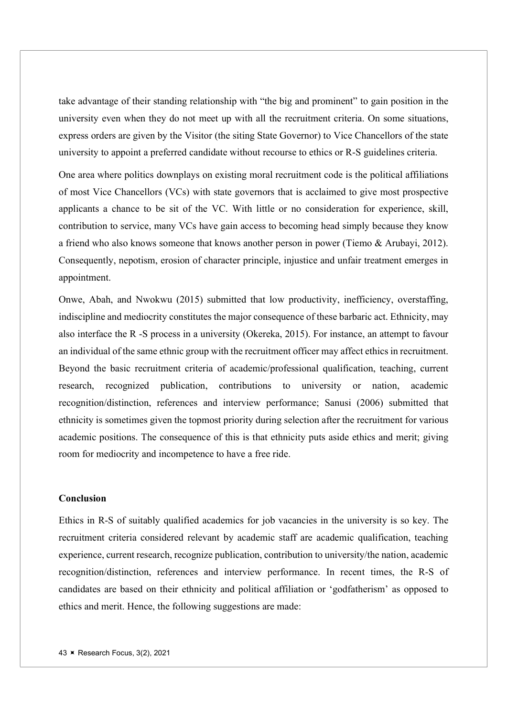take advantage of their standing relationship with "the big and prominent" to gain position in the university even when they do not meet up with all the recruitment criteria. On some situations, express orders are given by the Visitor (the siting State Governor) to Vice Chancellors of the state university to appoint a preferred candidate without recourse to ethics or R-S guidelines criteria.

One area where politics downplays on existing moral recruitment code is the political affiliations of most Vice Chancellors (VCs) with state governors that is acclaimed to give most prospective applicants a chance to be sit of the VC. With little or no consideration for experience, skill, contribution to service, many VCs have gain access to becoming head simply because they know a friend who also knows someone that knows another person in power (Tiemo & Arubayi, 2012). Consequently, nepotism, erosion of character principle, injustice and unfair treatment emerges in appointment.

Onwe, Abah, and Nwokwu (2015) submitted that low productivity, inefficiency, overstaffing, indiscipline and mediocrity constitutes the major consequence of these barbaric act. Ethnicity, may also interface the R -S process in a university (Okereka, 2015). For instance, an attempt to favour an individual of the same ethnic group with the recruitment officer may affect ethics in recruitment. Beyond the basic recruitment criteria of academic/professional qualification, teaching, current research, recognized publication, contributions to university or nation, academic recognition/distinction, references and interview performance; Sanusi (2006) submitted that ethnicity is sometimes given the topmost priority during selection after the recruitment for various academic positions. The consequence of this is that ethnicity puts aside ethics and merit; giving room for mediocrity and incompetence to have a free ride.

## Conclusion

Ethics in R-S of suitably qualified academics for job vacancies in the university is so key. The recruitment criteria considered relevant by academic staff are academic qualification, teaching experience, current research, recognize publication, contribution to university/the nation, academic recognition/distinction, references and interview performance. In recent times, the R-S of candidates are based on their ethnicity and political affiliation or 'godfatherism' as opposed to ethics and merit. Hence, the following suggestions are made: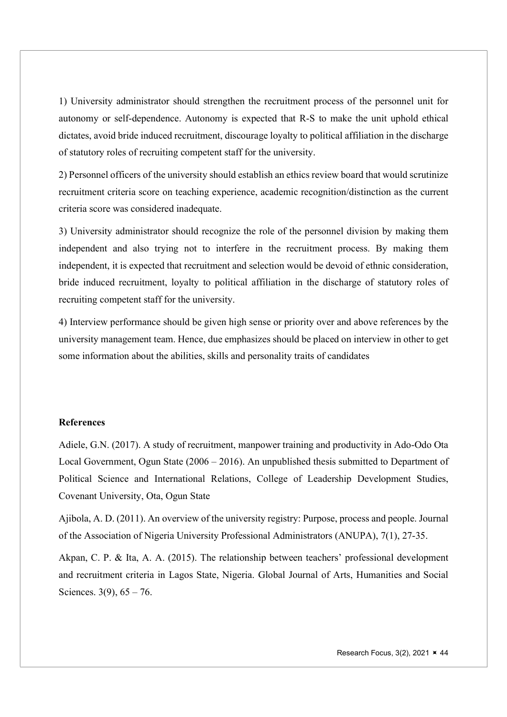1) University administrator should strengthen the recruitment process of the personnel unit for autonomy or self-dependence. Autonomy is expected that R-S to make the unit uphold ethical dictates, avoid bride induced recruitment, discourage loyalty to political affiliation in the discharge of statutory roles of recruiting competent staff for the university.

2) Personnel officers of the university should establish an ethics review board that would scrutinize recruitment criteria score on teaching experience, academic recognition/distinction as the current criteria score was considered inadequate.

3) University administrator should recognize the role of the personnel division by making them independent and also trying not to interfere in the recruitment process. By making them independent, it is expected that recruitment and selection would be devoid of ethnic consideration, bride induced recruitment, loyalty to political affiliation in the discharge of statutory roles of recruiting competent staff for the university.

4) Interview performance should be given high sense or priority over and above references by the university management team. Hence, due emphasizes should be placed on interview in other to get some information about the abilities, skills and personality traits of candidates

#### **References**

Adiele, G.N. (2017). A study of recruitment, manpower training and productivity in Ado-Odo Ota Local Government, Ogun State (2006 – 2016). An unpublished thesis submitted to Department of Political Science and International Relations, College of Leadership Development Studies, Covenant University, Ota, Ogun State

Ajibola, A. D. (2011). An overview of the university registry: Purpose, process and people. Journal of the Association of Nigeria University Professional Administrators (ANUPA), 7(1), 27-35.

Akpan, C. P. & Ita, A. A. (2015). The relationship between teachers' professional development and recruitment criteria in Lagos State, Nigeria. Global Journal of Arts, Humanities and Social Sciences.  $3(9)$ ,  $65 - 76$ .